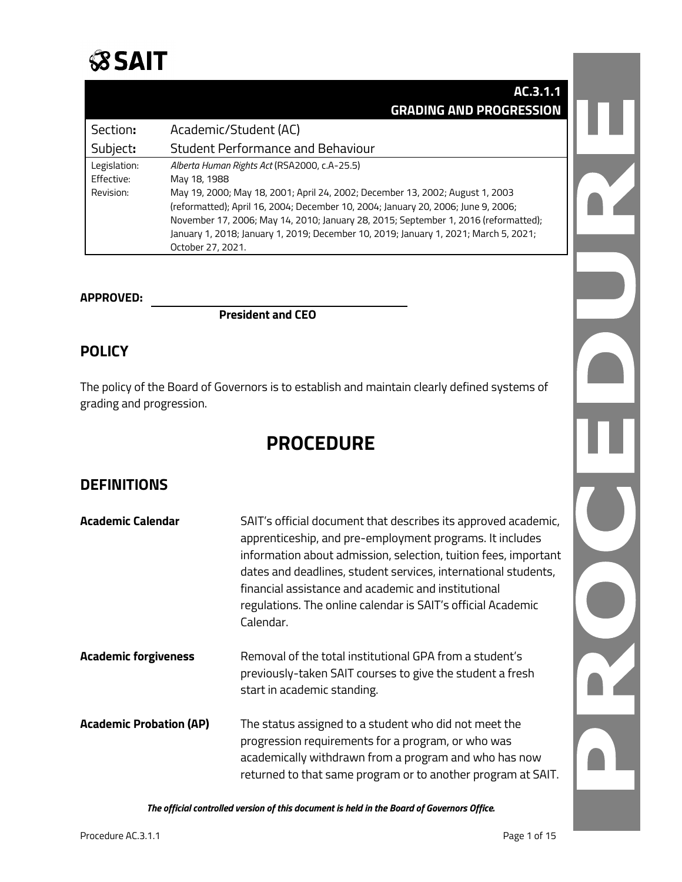

|              | AC.3.1.1                                                                             |  |
|--------------|--------------------------------------------------------------------------------------|--|
|              | <b>GRADING AND PROGRESSION</b>                                                       |  |
| Section:     | Academic/Student (AC)                                                                |  |
| Subject:     | <b>Student Performance and Behaviour</b>                                             |  |
| Legislation: | Alberta Human Rights Act (RSA2000, c.A-25.5)                                         |  |
| Effective:   | May 18, 1988                                                                         |  |
| Revision:    | May 19, 2000; May 18, 2001; April 24, 2002; December 13, 2002; August 1, 2003        |  |
|              | (reformatted); April 16, 2004; December 10, 2004; January 20, 2006; June 9, 2006;    |  |
|              | November 17, 2006; May 14, 2010; January 28, 2015; September 1, 2016 (reformatted);  |  |
|              | January 1, 2018; January 1, 2019; December 10, 2019; January 1, 2021; March 5, 2021; |  |
|              | October 27, 2021.                                                                    |  |

#### **APPROVED:**

**President and CEO**

### **POLICY**

The policy of the Board of Governors is to establish and maintain clearly defined systems of grading and progression.

## **PROCEDURE**

## **DEFINITIONS**

| Academic Calendar              | SAIT's official document that describes its approved academic,<br>apprenticeship, and pre-employment programs. It includes<br>information about admission, selection, tuition fees, important<br>dates and deadlines, student services, international students,<br>financial assistance and academic and institutional<br>regulations. The online calendar is SAIT's official Academic<br>Calendar. |
|--------------------------------|-----------------------------------------------------------------------------------------------------------------------------------------------------------------------------------------------------------------------------------------------------------------------------------------------------------------------------------------------------------------------------------------------------|
| <b>Academic forgiveness</b>    | Removal of the total institutional GPA from a student's<br>previously-taken SAIT courses to give the student a fresh<br>start in academic standing.                                                                                                                                                                                                                                                 |
| <b>Academic Probation (AP)</b> | The status assigned to a student who did not meet the<br>progression requirements for a program, or who was<br>academically withdrawn from a program and who has now<br>returned to that same program or to another program at SAIT.                                                                                                                                                                |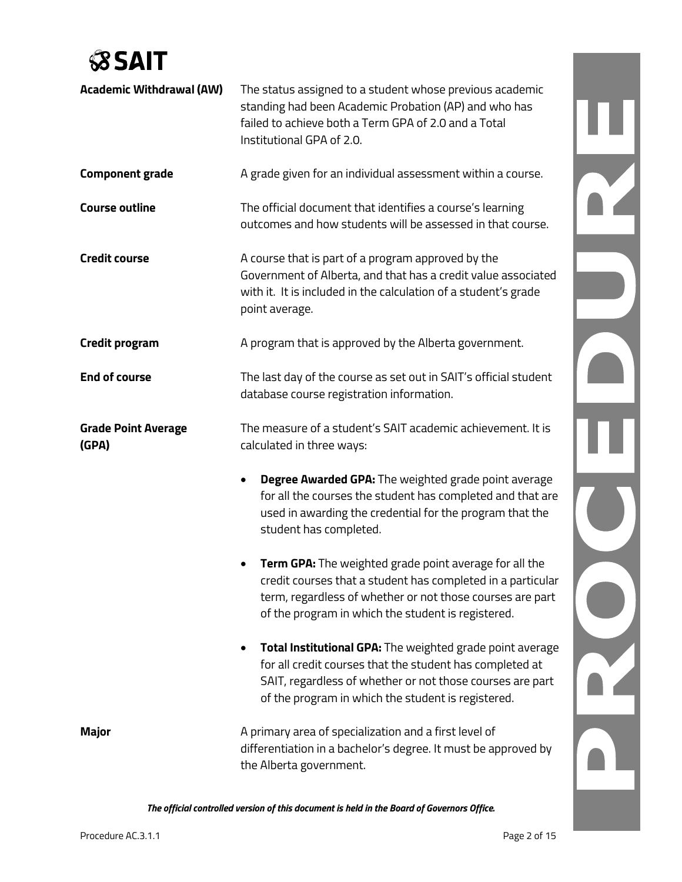# **SSAIT**

| <b>Academic Withdrawal (AW)</b>     | The status assigned to a student whose previous academic<br>standing had been Academic Probation (AP) and who has<br>failed to achieve both a Term GPA of 2.0 and a Total<br>Institutional GPA of 2.0.                                   |  |
|-------------------------------------|------------------------------------------------------------------------------------------------------------------------------------------------------------------------------------------------------------------------------------------|--|
| <b>Component grade</b>              | A grade given for an individual assessment within a course.                                                                                                                                                                              |  |
| <b>Course outline</b>               | The official document that identifies a course's learning<br>outcomes and how students will be assessed in that course.                                                                                                                  |  |
| <b>Credit course</b>                | A course that is part of a program approved by the<br>Government of Alberta, and that has a credit value associated<br>with it. It is included in the calculation of a student's grade<br>point average.                                 |  |
| <b>Credit program</b>               | A program that is approved by the Alberta government.                                                                                                                                                                                    |  |
| <b>End of course</b>                | The last day of the course as set out in SAIT's official student<br>database course registration information.                                                                                                                            |  |
| <b>Grade Point Average</b><br>(GPA) | The measure of a student's SAIT academic achievement. It is<br>calculated in three ways:                                                                                                                                                 |  |
|                                     | Degree Awarded GPA: The weighted grade point average<br>for all the courses the student has completed and that are<br>used in awarding the credential for the program that the<br>student has completed.                                 |  |
|                                     | Term GPA: The weighted grade point average for all the<br>credit courses that a student has completed in a particular<br>term, regardless of whether or not those courses are part<br>of the program in which the student is registered. |  |
|                                     | Total Institutional GPA: The weighted grade point average<br>for all credit courses that the student has completed at<br>SAIT, regardless of whether or not those courses are part<br>of the program in which the student is registered. |  |
| Major                               | A primary area of specialization and a first level of<br>differentiation in a bachelor's degree. It must be approved by<br>the Alberta government.                                                                                       |  |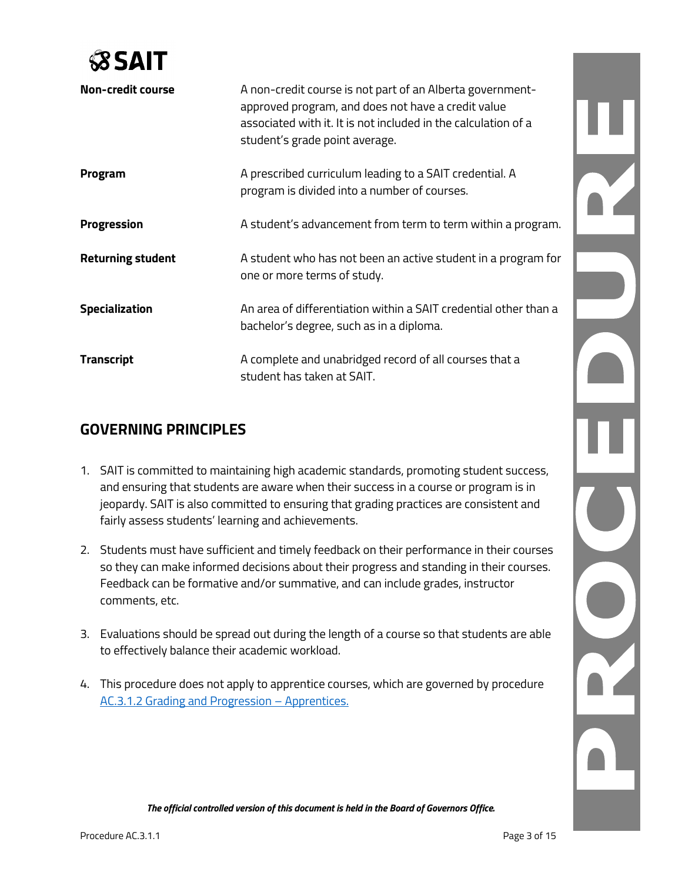

| <b>Non-credit course</b> | A non-credit course is not part of an Alberta government-<br>approved program, and does not have a credit value<br>associated with it. It is not included in the calculation of a<br>student's grade point average. |
|--------------------------|---------------------------------------------------------------------------------------------------------------------------------------------------------------------------------------------------------------------|
| Program                  | A prescribed curriculum leading to a SAIT credential. A<br>program is divided into a number of courses.                                                                                                             |
| <b>Progression</b>       | A student's advancement from term to term within a program.                                                                                                                                                         |
| <b>Returning student</b> | A student who has not been an active student in a program for<br>one or more terms of study.                                                                                                                        |
| <b>Specialization</b>    | An area of differentiation within a SAIT credential other than a<br>bachelor's degree, such as in a diploma.                                                                                                        |
| <b>Transcript</b>        | A complete and unabridged record of all courses that a<br>student has taken at SAIT.                                                                                                                                |

### **GOVERNING PRINCIPLES**

- 1. SAIT is committed to maintaining high academic standards, promoting student success, and ensuring that students are aware when their success in a course or program is in jeopardy. SAIT is also committed to ensuring that grading practices are consistent and fairly assess students' learning and achievements.
- 2. Students must have sufficient and timely feedback on their performance in their courses so they can make informed decisions about their progress and standing in their courses. Feedback can be formative and/or summative, and can include grades, instructor comments, etc.
- 3. Evaluations should be spread out during the length of a course so that students are able to effectively balance their academic workload.
- 4. This procedure does not apply to apprentice courses, which are governed by procedure [AC.3.1.2 Grading and Progression –](https://www.sait.ca/documents/About%20SAIT/Administration/Policies%20and%20Procedures/Academic%20Student/Student%20performance%20and%20behaviour/AC.3.1.2%20Grading%20and%20Progression%20-%20Apprentices.pdf) Apprentices.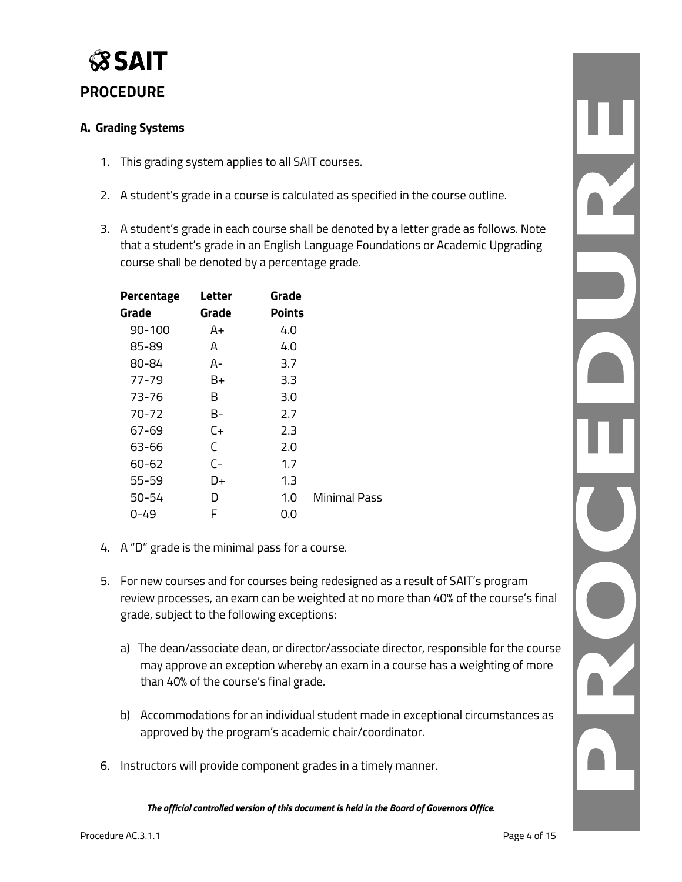

## **PROCEDURE**

#### **A. Grading Systems**

- 1. This grading system applies to all SAIT courses.
- 2. A student's grade in a course is calculated as specified in the course outline.
- 3. A student's grade in each course shall be denoted by a letter grade as follows. Note that a student's grade in an English Language Foundations or Academic Upgrading course shall be denoted by a percentage grade.

| Percentage | Letter | Grade         |                     |
|------------|--------|---------------|---------------------|
| Grade      | Grade  | <b>Points</b> |                     |
| $90 - 100$ | A+     | 4.0           |                     |
| 85-89      | A      | 4.0           |                     |
| 80-84      | А-     | 3.7           |                     |
| 77-79      | B+     | 3.3           |                     |
| 73-76      | B      | 3.0           |                     |
| 70-72      | B-     | 2.7           |                     |
| 67-69      | $C+$   | 2.3           |                     |
| 63-66      | C      | 2.0           |                     |
| 60-62      | $C -$  | 1.7           |                     |
| $55 - 59$  | D+     | 1.3           |                     |
| 50-54      | D      | 1.0           | <b>Minimal Pass</b> |
| 0-49       | F      | 0.0           |                     |

- 4. A "D" grade is the minimal pass for a course.
- 5. For new courses and for courses being redesigned as a result of SAIT's program review processes, an exam can be weighted at no more than 40% of the course's final grade, subject to the following exceptions:
	- a) The dean/associate dean, or director/associate director, responsible for the course may approve an exception whereby an exam in a course has a weighting of more than 40% of the course's final grade.
	- b) Accommodations for an individual student made in exceptional circumstances as approved by the program's academic chair/coordinator.
- 6. Instructors will provide component grades in a timely manner.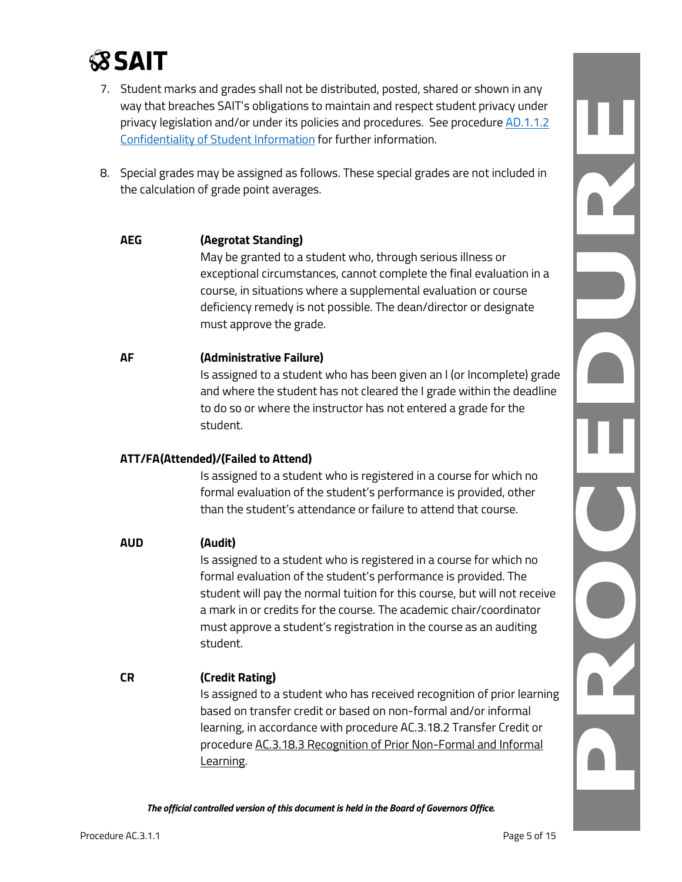

- 7. Student marks and grades shall not be distributed, posted, shared or shown in any way that breaches SAIT's obligations to maintain and respect student privacy under privacy legislation and/or under its policies and procedures. See procedure AD.1.1.2 [Confidentiality of Student Information](https://www.sait.ca/documents/About%20SAIT/Administration/Policies%20and%20Procedures/Administration/AD.1.1.2%20Confidentiality%20of%20Student%20Information.pdf) for further information.
- 8. Special grades may be assigned as follows. These special grades are not included in the calculation of grade point averages.

#### **AEG (Aegrotat Standing)**

May be granted to a student who, through serious illness or exceptional circumstances, cannot complete the final evaluation in a course, in situations where a supplemental evaluation or course deficiency remedy is not possible. The dean/director or designate must approve the grade.

#### **AF (Administrative Failure)**

Is assigned to a student who has been given an I (or Incomplete) grade and where the student has not cleared the I grade within the deadline to do so or where the instructor has not entered a grade for the student.

#### **ATT/FA(Attended)/(Failed to Attend)**

Is assigned to a student who is registered in a course for which no formal evaluation of the student's performance is provided, other than the student's attendance or failure to attend that course.

#### **AUD (Audit)**

Is assigned to a student who is registered in a course for which no formal evaluation of the student's performance is provided. The student will pay the normal tuition for this course, but will not receive a mark in or credits for the course. The academic chair/coordinator must approve a student's registration in the course as an auditing student.

**CR (Credit Rating)** Is assigned to a student who has received recognition of prior learning based on transfer credit or based on non-formal and/or informal learning, in accordance with procedure AC.3.18.2 Transfer Credit or procedure [AC.3.18.3 Recognition of Prior Non-Formal](http://www.sait.ca/Documents/About%20SAIT/Policies%20and%20Procedures/Academic%20Student/pdf/AC-3-18-3_RecognitionofPriorNon-formalandInformalLearningProcedure.pdf) and Informal [Learning.](http://www.sait.ca/Documents/About%20SAIT/Policies%20and%20Procedures/Academic%20Student/pdf/AC-3-18-3_RecognitionofPriorNon-formalandInformalLearningProcedure.pdf)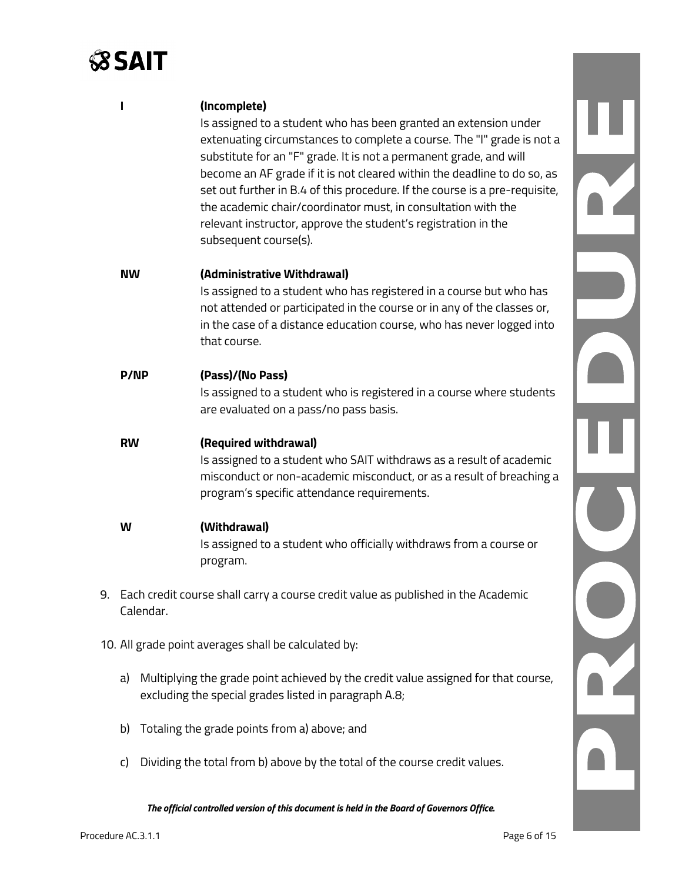## **SSAIT**

|    |             |                                                                                                | (Incomplete)<br>Is assigned to a student who has been granted an extension under<br>extenuating circumstances to complete a course. The "I" grade is not a<br>substitute for an "F" grade. It is not a permanent grade, and will<br>become an AF grade if it is not cleared within the deadline to do so, as<br>set out further in B.4 of this procedure. If the course is a pre-requisite,<br>the academic chair/coordinator must, in consultation with the<br>relevant instructor, approve the student's registration in the<br>subsequent course(s). |  |
|----|-------------|------------------------------------------------------------------------------------------------|---------------------------------------------------------------------------------------------------------------------------------------------------------------------------------------------------------------------------------------------------------------------------------------------------------------------------------------------------------------------------------------------------------------------------------------------------------------------------------------------------------------------------------------------------------|--|
|    | <b>NW</b>   |                                                                                                | (Administrative Withdrawal)<br>Is assigned to a student who has registered in a course but who has<br>not attended or participated in the course or in any of the classes or,<br>in the case of a distance education course, who has never logged into<br>that course.                                                                                                                                                                                                                                                                                  |  |
|    | <b>P/NP</b> |                                                                                                | (Pass)/(No Pass)<br>Is assigned to a student who is registered in a course where students<br>are evaluated on a pass/no pass basis.                                                                                                                                                                                                                                                                                                                                                                                                                     |  |
|    | <b>RW</b>   |                                                                                                | (Required withdrawal)<br>Is assigned to a student who SAIT withdraws as a result of academic<br>misconduct or non-academic misconduct, or as a result of breaching a<br>program's specific attendance requirements.                                                                                                                                                                                                                                                                                                                                     |  |
|    | W           |                                                                                                | (Withdrawal)<br>Is assigned to a student who officially withdraws from a course or<br>program.                                                                                                                                                                                                                                                                                                                                                                                                                                                          |  |
| 9. |             | Each credit course shall carry a course credit value as published in the Academic<br>Calendar. |                                                                                                                                                                                                                                                                                                                                                                                                                                                                                                                                                         |  |
|    |             |                                                                                                | 10. All grade point averages shall be calculated by:                                                                                                                                                                                                                                                                                                                                                                                                                                                                                                    |  |
|    | a)          |                                                                                                | Multiplying the grade point achieved by the credit value assigned for that course,<br>excluding the special grades listed in paragraph A.8;                                                                                                                                                                                                                                                                                                                                                                                                             |  |
|    | b)          |                                                                                                | Totaling the grade points from a) above; and                                                                                                                                                                                                                                                                                                                                                                                                                                                                                                            |  |
|    | C)          |                                                                                                | Dividing the total from b) above by the total of the course credit values.                                                                                                                                                                                                                                                                                                                                                                                                                                                                              |  |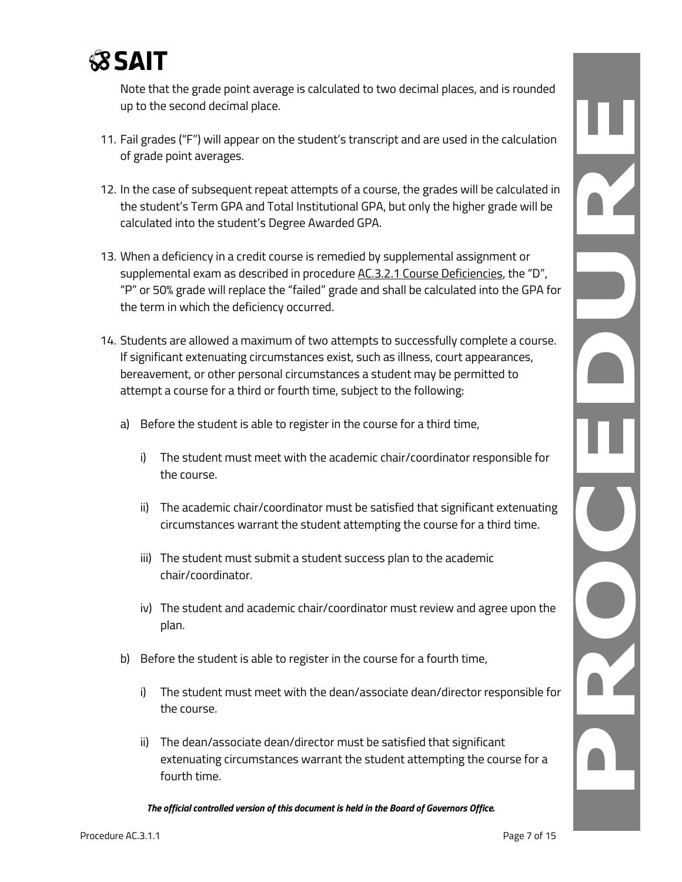

Note that the grade point average is calculated to two decimal places, and is rounded up to the second decimal place.

- 11. Fail grades ("F") will appear on the student's transcript and are used in the calculation of grade point averages.
- 12. In the case of subsequent repeat attempts of a course, the grades will be calculated in the student's Term GPA and Total Institutional GPA, but only the higher grade will be calculated into the student's Degree Awarded GPA.
- 13. When a deficiency in a credit course is remedied by supplemental assignment or supplemental exam as described in procedure [AC.3.2.1 Course Deficiencies,](http://www.sait.ca/Documents/About%20SAIT/Policies%20and%20Procedures/Academic%20Student/pdf/AC-3-2-1_CourseDeficiencies.pdf) the "D", "P" or 50% grade will replace the "failed" grade and shall be calculated into the GPA for the term in which the deficiency occurred.
- 14. Students are allowed a maximum of two attempts to successfully complete a course. If significant extenuating circumstances exist, such as illness, court appearances, bereavement, or other personal circumstances a student may be permitted to attempt a course for a third or fourth time, subject to the following:
	- a) Before the student is able to register in the course for a third time,
		- i) The student must meet with the academic chair/coordinator responsible for the course.
		- ii) The academic chair/coordinator must be satisfied that significant extenuating circumstances warrant the student attempting the course for a third time.
		- iii) The student must submit a student success plan to the academic chair/coordinator.
		- iv) The student and academic chair/coordinator must review and agree upon the plan.
	- b) Before the student is able to register in the course for a fourth time,
		- i) The student must meet with the dean/associate dean/director responsible for the course.
		- ii) The dean/associate dean/director must be satisfied that significant extenuating circumstances warrant the student attempting the course for a fourth time.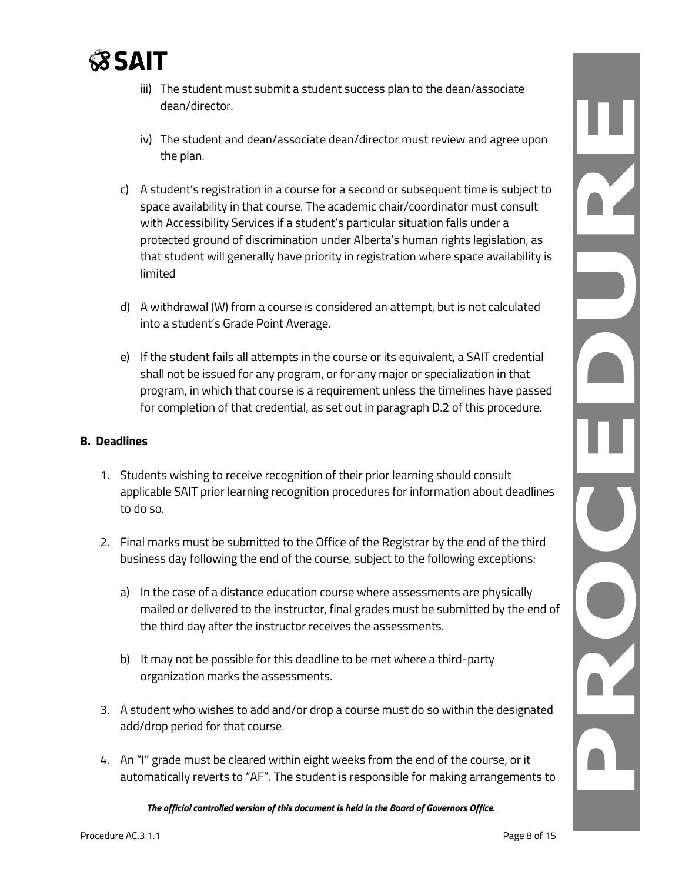

- iii) The student must submit a student success plan to the dean/associate dean/director.
- iv) The student and dean/associate dean/director must review and agree upon the plan.
- c) A student's registration in a course for a second or subsequent time is subject to space availability in that course. The academic chair/coordinator must consult with Accessibility Services if a student's particular situation falls under a protected ground of discrimination under Alberta's human rights legislation, as that student will generally have priority in registration where space availability is limited
- d) A withdrawal (W) from a course is considered an attempt, but is not calculated into a student's Grade Point Average.
- e) If the student fails all attempts in the course or its equivalent, a SAIT credential shall not be issued for any program, or for any major or specialization in that program, in which that course is a requirement unless the timelines have passed for completion of that credential, as set out in paragraph D.2 of this procedure.

#### **B. Deadlines**

- 1. Students wishing to receive recognition of their prior learning should consult applicable SAIT prior learning recognition procedures for information about deadlines to do so.
- 2. Final marks must be submitted to the Office of the Registrar by the end of the third business day following the end of the course, subject to the following exceptions:
	- a) In the case of a distance education course where assessments are physically mailed or delivered to the instructor, final grades must be submitted by the end of the third day after the instructor receives the assessments.
	- b) It may not be possible for this deadline to be met where a third-party organization marks the assessments.
- 3. A student who wishes to add and/or drop a course must do so within the designated add/drop period for that course.
- 4. An "I" grade must be cleared within eight weeks from the end of the course, or it automatically reverts to "AF". The student is responsible for making arrangements to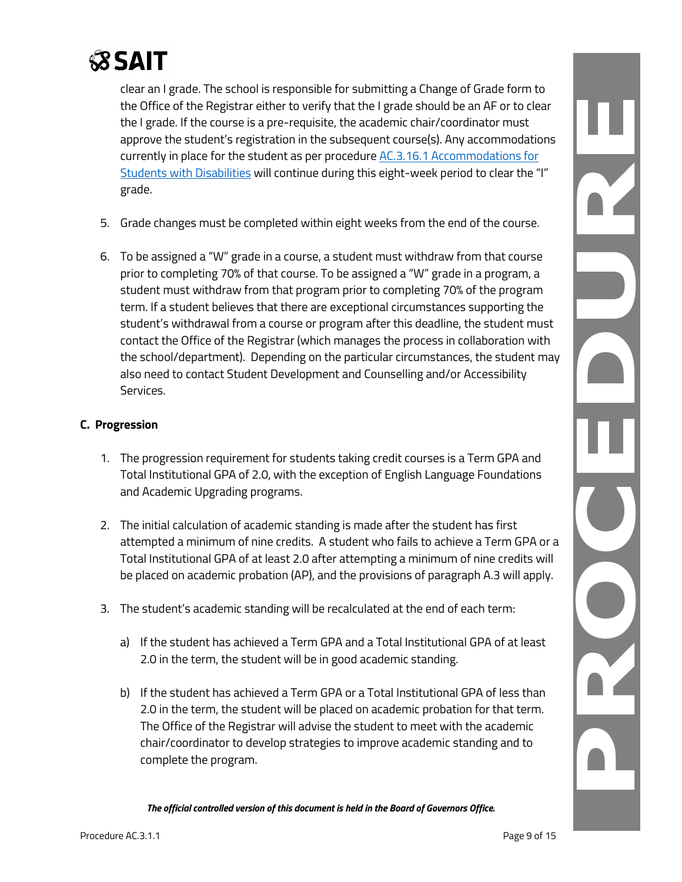

clear an I grade. The school is responsible for submitting a Change of Grade form to the Office of the Registrar either to verify that the I grade should be an AF or to clear the I grade. If the course is a pre-requisite, the academic chair/coordinator must approve the student's registration in the subsequent course(s). Any accommodations currently in place for the student as per procedur[e AC.3.16.1 Accommodations for](https://www.sait.ca/documents/About%20SAIT/Administration/Policies%20and%20Procedures/Academic%20Student/Student%20performance%20and%20behaviour/AC.3.16.1%20Accommodations%20for%20Students%20with%20Disabilities.pdf)  [Students with Disabilities](https://www.sait.ca/documents/About%20SAIT/Administration/Policies%20and%20Procedures/Academic%20Student/Student%20performance%20and%20behaviour/AC.3.16.1%20Accommodations%20for%20Students%20with%20Disabilities.pdf) will continue during this eight-week period to clear the "I" grade.

- 5. Grade changes must be completed within eight weeks from the end of the course.
- 6. To be assigned a "W" grade in a course, a student must withdraw from that course prior to completing 70% of that course. To be assigned a "W" grade in a program, a student must withdraw from that program prior to completing 70% of the program term. If a student believes that there are exceptional circumstances supporting the student's withdrawal from a course or program after this deadline, the student must contact the Office of the Registrar (which manages the process in collaboration with the school/department). Depending on the particular circumstances, the student may also need to contact Student Development and Counselling and/or Accessibility Services.

#### **C. Progression**

- 1. The progression requirement for students taking credit courses is a Term GPA and Total Institutional GPA of 2.0, with the exception of English Language Foundations and Academic Upgrading programs.
- 2. The initial calculation of academic standing is made after the student has first attempted a minimum of nine credits. A student who fails to achieve a Term GPA or a Total Institutional GPA of at least 2.0 after attempting a minimum of nine credits will be placed on academic probation (AP), and the provisions of paragraph A.3 will apply.
- 3. The student's academic standing will be recalculated at the end of each term:
	- a) If the student has achieved a Term GPA and a Total Institutional GPA of at least 2.0 in the term, the student will be in good academic standing.
	- b) If the student has achieved a Term GPA or a Total Institutional GPA of less than 2.0 in the term, the student will be placed on academic probation for that term. The Office of the Registrar will advise the student to meet with the academic chair/coordinator to develop strategies to improve academic standing and to complete the program.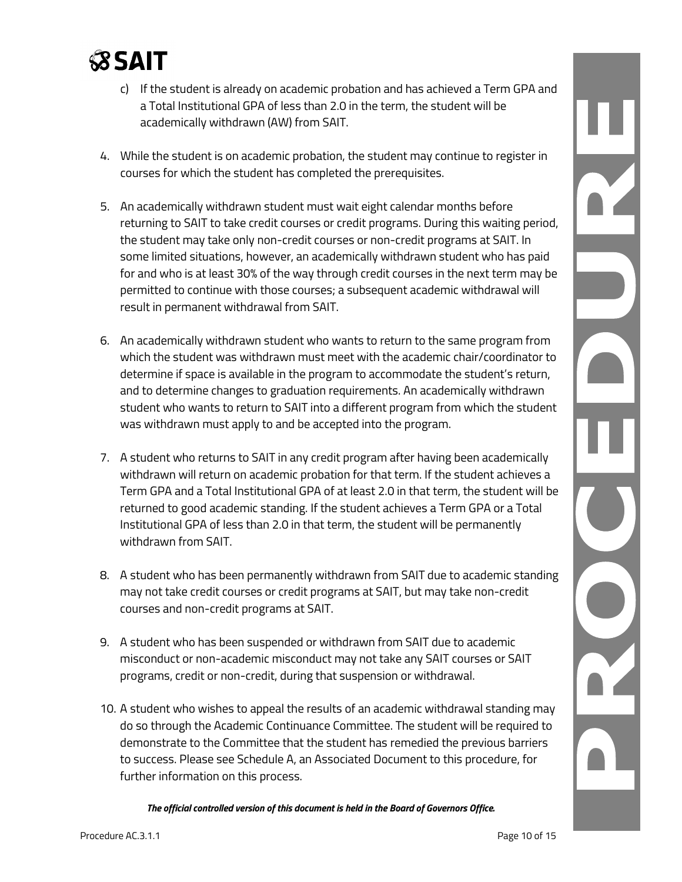

- c) If the student is already on academic probation and has achieved a Term GPA and a Total Institutional GPA of less than 2.0 in the term, the student will be academically withdrawn (AW) from SAIT.
- 4. While the student is on academic probation, the student may continue to register in courses for which the student has completed the prerequisites.
- 5. An academically withdrawn student must wait eight calendar months before returning to SAIT to take credit courses or credit programs. During this waiting period, the student may take only non-credit courses or non-credit programs at SAIT. In some limited situations, however, an academically withdrawn student who has paid for and who is at least 30% of the way through credit courses in the next term may be permitted to continue with those courses; a subsequent academic withdrawal will result in permanent withdrawal from SAIT.
- 6. An academically withdrawn student who wants to return to the same program from which the student was withdrawn must meet with the academic chair/coordinator to determine if space is available in the program to accommodate the student's return, and to determine changes to graduation requirements. An academically withdrawn student who wants to return to SAIT into a different program from which the student was withdrawn must apply to and be accepted into the program.
- 7. A student who returns to SAIT in any credit program after having been academically withdrawn will return on academic probation for that term. If the student achieves a Term GPA and a Total Institutional GPA of at least 2.0 in that term, the student will be returned to good academic standing. If the student achieves a Term GPA or a Total Institutional GPA of less than 2.0 in that term, the student will be permanently withdrawn from SAIT.
- 8. A student who has been permanently withdrawn from SAIT due to academic standing may not take credit courses or credit programs at SAIT, but may take non-credit courses and non-credit programs at SAIT.
- 9. A student who has been suspended or withdrawn from SAIT due to academic misconduct or non-academic misconduct may not take any SAIT courses or SAIT programs, credit or non-credit, during that suspension or withdrawal.
- 10. A student who wishes to appeal the results of an academic withdrawal standing may do so through the Academic Continuance Committee. The student will be required to demonstrate to the Committee that the student has remedied the previous barriers to success. Please see Schedule A, an Associated Document to this procedure, for further information on this process.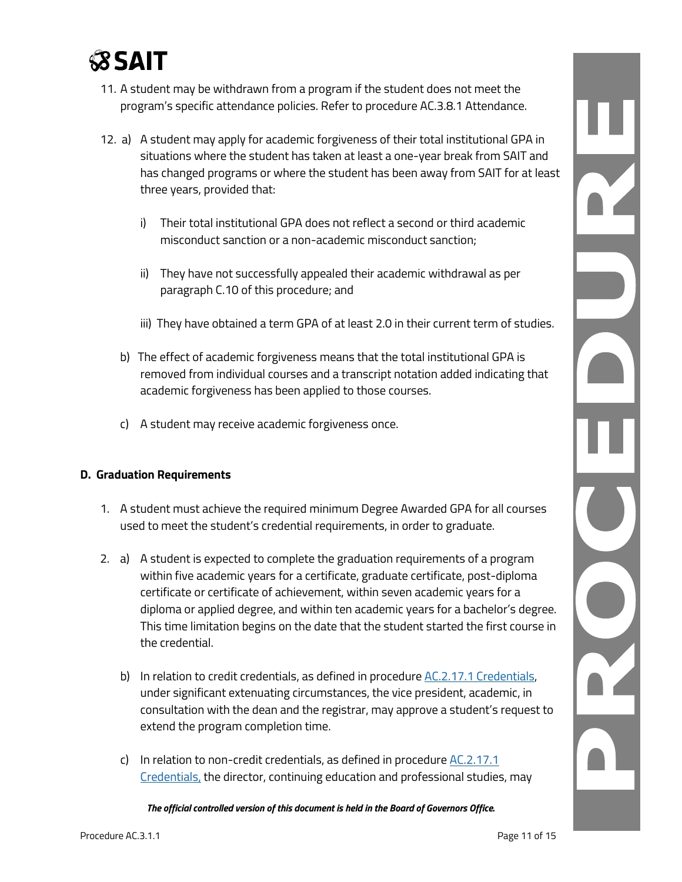

- 11. A student may be withdrawn from a program if the student does not meet the program's specific attendance policies. Refer to procedure AC.3.8.1 Attendance.
- 12. a) A student may apply for academic forgiveness of their total institutional GPA in situations where the student has taken at least a one-year break from SAIT and has changed programs or where the student has been away from SAIT for at least three years, provided that:
	- i) Their total institutional GPA does not reflect a second or third academic misconduct sanction or a non-academic misconduct sanction;
	- ii) They have not successfully appealed their academic withdrawal as per paragraph C.10 of this procedure; and
	- iii) They have obtained a term GPA of at least 2.0 in their current term of studies.
	- b) The effect of academic forgiveness means that the total institutional GPA is removed from individual courses and a transcript notation added indicating that academic forgiveness has been applied to those courses.
	- c) A student may receive academic forgiveness once.

#### **D. Graduation Requirements**

- 1. A student must achieve the required minimum Degree Awarded GPA for all courses used to meet the student's credential requirements, in order to graduate.
- 2. a) A student is expected to complete the graduation requirements of a program within five academic years for a certificate, graduate certificate, post-diploma certificate or certificate of achievement, within seven academic years for a diploma or applied degree, and within ten academic years for a bachelor's degree. This time limitation begins on the date that the student started the first course in the credential.
	- b) In relation to credit credentials, as defined in procedure [AC.2.17.1 Credentials,](https://www.sait.ca/documents/About%20SAIT/Administration/Policies%20and%20Procedures/Academic%20Student/Programs%20and%20Curriculum/AC.2.17.1%20Credentials.pdf) under significant extenuating circumstances, the vice president, academic, in consultation with the dean and the registrar, may approve a student's request to extend the program completion time.
	- c) In relation to non-credit credentials, as defined in procedur[e AC.2.17.1](https://www.sait.ca/documents/About%20SAIT/Administration/Policies%20and%20Procedures/Academic%20Student/Programs%20and%20Curriculum/AC.2.17.1%20Credentials.pdf)  [Credentials,](https://www.sait.ca/documents/About%20SAIT/Administration/Policies%20and%20Procedures/Academic%20Student/Programs%20and%20Curriculum/AC.2.17.1%20Credentials.pdf) the director, continuing education and professional studies, may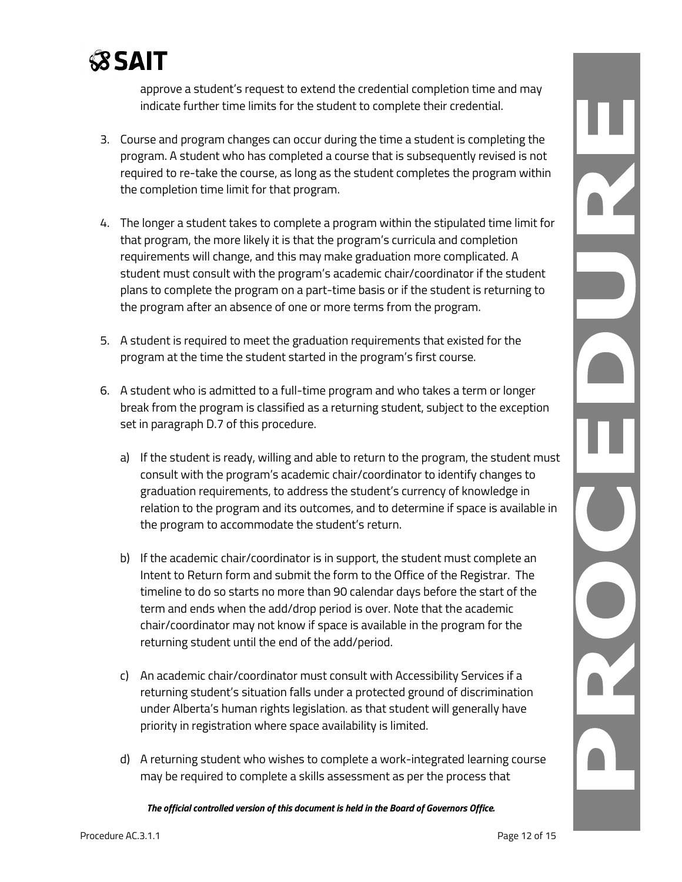

approve a student's request to extend the credential completion time and may indicate further time limits for the student to complete their credential.

- 3. Course and program changes can occur during the time a student is completing the program. A student who has completed a course that is subsequently revised is not required to re-take the course, as long as the student completes the program within the completion time limit for that program.
- 4. The longer a student takes to complete a program within the stipulated time limit for that program, the more likely it is that the program's curricula and completion requirements will change, and this may make graduation more complicated. A student must consult with the program's academic chair/coordinator if the student plans to complete the program on a part-time basis or if the student is returning to the program after an absence of one or more terms from the program.
- 5. A student is required to meet the graduation requirements that existed for the program at the time the student started in the program's first course.
- 6. A student who is admitted to a full-time program and who takes a term or longer break from the program is classified as a returning student, subject to the exception set in paragraph D.7 of this procedure.
	- a) If the student is ready, willing and able to return to the program, the student must consult with the program's academic chair/coordinator to identify changes to graduation requirements, to address the student's currency of knowledge in relation to the program and its outcomes, and to determine if space is available in the program to accommodate the student's return.
	- b) If the academic chair/coordinator is in support, the student must complete an Intent to Return form and submit the form to the Office of the Registrar. The timeline to do so starts no more than 90 calendar days before the start of the term and ends when the add/drop period is over. Note that the academic chair/coordinator may not know if space is available in the program for the returning student until the end of the add/period.
	- c) An academic chair/coordinator must consult with Accessibility Services if a returning student's situation falls under a protected ground of discrimination under Alberta's human rights legislation. as that student will generally have priority in registration where space availability is limited.
	- d) A returning student who wishes to complete a work-integrated learning course may be required to complete a skills assessment as per the process that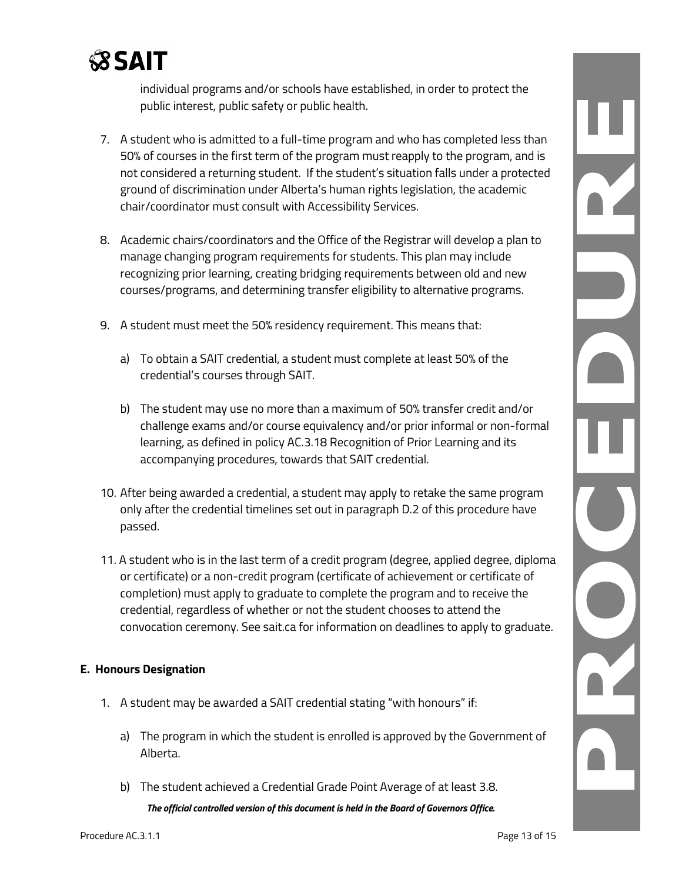

individual programs and/or schools have established, in order to protect the public interest, public safety or public health.

- 7. A student who is admitted to a full-time program and who has completed less than 50% of courses in the first term of the program must reapply to the program, and is not considered a returning student. If the student's situation falls under a protected ground of discrimination under Alberta's human rights legislation, the academic chair/coordinator must consult with Accessibility Services.
- 8. Academic chairs/coordinators and the Office of the Registrar will develop a plan to manage changing program requirements for students. This plan may include recognizing prior learning, creating bridging requirements between old and new courses/programs, and determining transfer eligibility to alternative programs.
- 9. A student must meet the 50% residency requirement. This means that:
	- a) To obtain a SAIT credential, a student must complete at least 50% of the credential's courses through SAIT.
	- b) The student may use no more than a maximum of 50% transfer credit and/or challenge exams and/or course equivalency and/or prior informal or non-formal learning, as defined in policy AC.3.18 Recognition of Prior Learning and its accompanying procedures, towards that SAIT credential.
- 10. After being awarded a credential, a student may apply to retake the same program only after the credential timelines set out in paragraph D.2 of this procedure have passed.
- 11. A student who is in the last term of a credit program (degree, applied degree, diploma or certificate) or a non-credit program (certificate of achievement or certificate of completion) must apply to graduate to complete the program and to receive the credential, regardless of whether or not the student chooses to attend the convocation ceremony. See sait.ca for information on deadlines to apply to graduate.

#### **E. Honours Designation**

- 1. A student may be awarded a SAIT credential stating "with honours" if:
	- a) The program in which the student is enrolled is approved by the Government of Alberta.
	- b) The student achieved a Credential Grade Point Average of at least 3.8.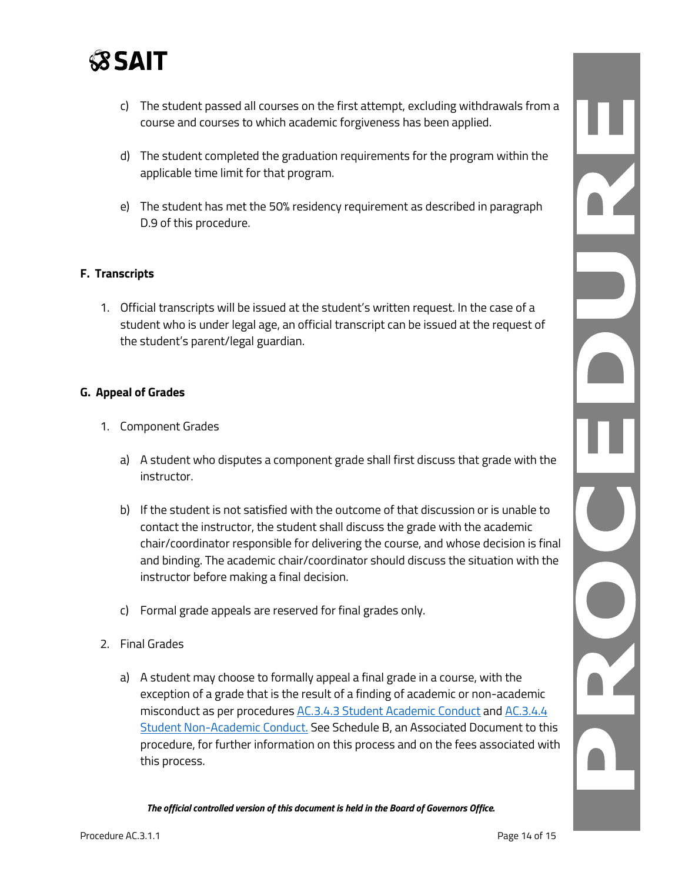

- c) The student passed all courses on the first attempt, excluding withdrawals from a course and courses to which academic forgiveness has been applied.
- d) The student completed the graduation requirements for the program within the applicable time limit for that program.
- e) The student has met the 50% residency requirement as described in paragraph D.9 of this procedure.

#### **F. Transcripts**

1. Official transcripts will be issued at the student's written request. In the case of a student who is under legal age, an official transcript can be issued at the request of the student's parent/legal guardian.

#### **G. Appeal of Grades**

- 1. Component Grades
	- a) A student who disputes a component grade shall first discuss that grade with the instructor.
	- b) If the student is not satisfied with the outcome of that discussion or is unable to contact the instructor, the student shall discuss the grade with the academic chair/coordinator responsible for delivering the course, and whose decision is final and binding. The academic chair/coordinator should discuss the situation with the instructor before making a final decision.
	- c) Formal grade appeals are reserved for final grades only.
- 2. Final Grades
	- a) A student may choose to formally appeal a final grade in a course, with the exception of a grade that is the result of a finding of academic or non-academic misconduct as per procedures [AC.3.4.3 Student Academic Conduct](https://www.sait.ca/documents/About%20SAIT/Administration/Policies%20and%20Procedures/Academic%20Student/Student%20performance%20and%20behaviour/AC.3.4.3%20Student%20Academic%20Conduct.pdf) and AC.3.4.4 [Student Non-Academic Conduct.](https://www.sait.ca/documents/About%20SAIT/Administration/Policies%20and%20Procedures/Academic%20Student/Student%20performance%20and%20behaviour/AC.3.4.4%20Student%20Non-Academic%20Conduct.pdf) See Schedule B, an Associated Document to this procedure, for further information on this process and on the fees associated with this process.